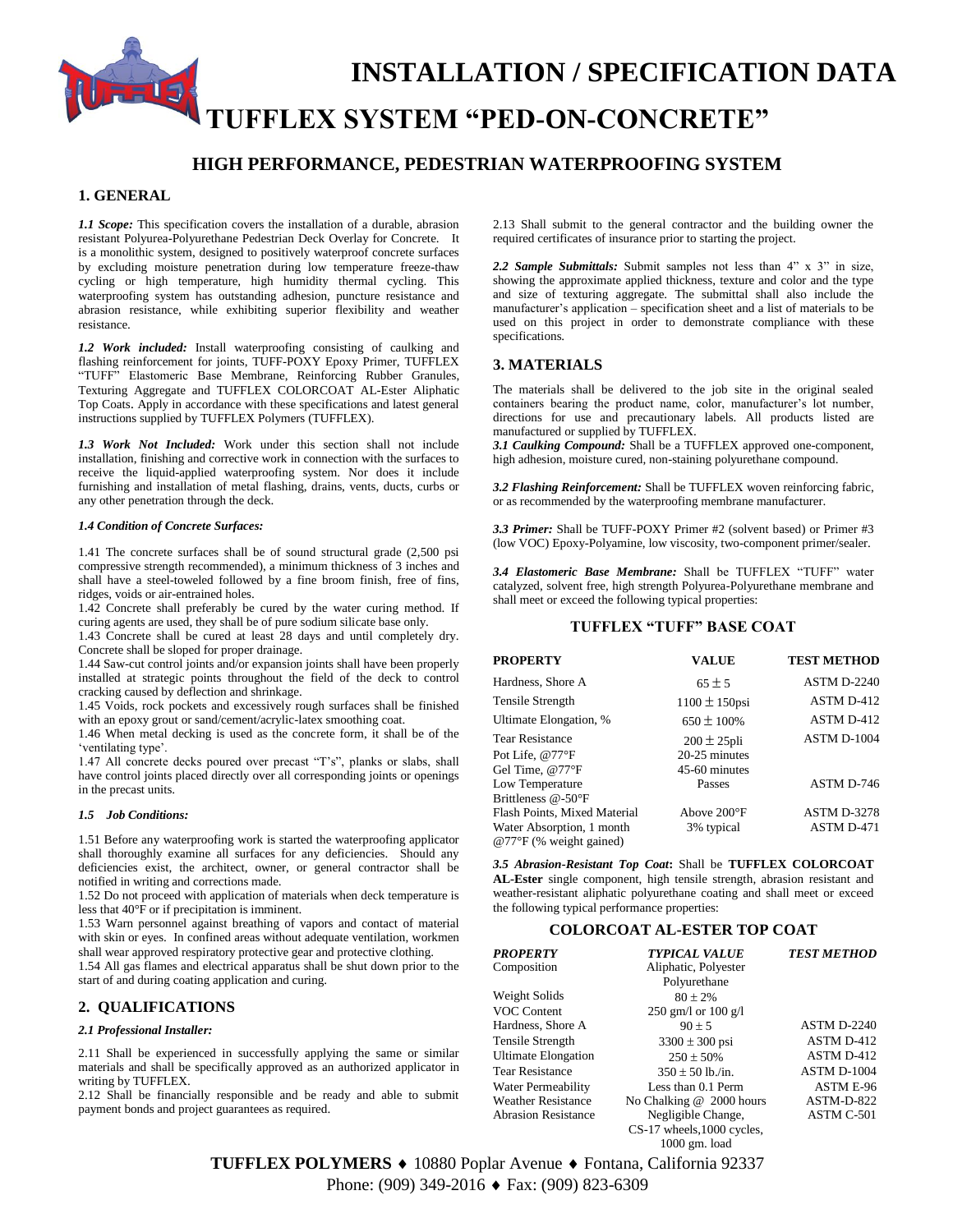# **INSTALLATION / SPECIFICATION DATA TUFFLEX SYSTEM "PED-ON-CONCRETE"**

## **HIGH PERFORMANCE, PEDESTRIAN WATERPROOFING SYSTEM**

## **1. GENERAL**

*1.1 Scope:* This specification covers the installation of a durable, abrasion resistant Polyurea-Polyurethane Pedestrian Deck Overlay for Concrete. It is a monolithic system, designed to positively waterproof concrete surfaces by excluding moisture penetration during low temperature freeze-thaw cycling or high temperature, high humidity thermal cycling. This waterproofing system has outstanding adhesion, puncture resistance and abrasion resistance, while exhibiting superior flexibility and weather resistance.

*1.2 Work included:* Install waterproofing consisting of caulking and flashing reinforcement for joints, TUFF-POXY Epoxy Primer, TUFFLEX "TUFF" Elastomeric Base Membrane, Reinforcing Rubber Granules, Texturing Aggregate and TUFFLEX COLORCOAT AL-Ester Aliphatic Top Coats. Apply in accordance with these specifications and latest general instructions supplied by TUFFLEX Polymers (TUFFLEX).

*1.3 Work Not Included:* Work under this section shall not include installation, finishing and corrective work in connection with the surfaces to receive the liquid-applied waterproofing system. Nor does it include furnishing and installation of metal flashing, drains, vents, ducts, curbs or any other penetration through the deck.

#### *1.4 Condition of Concrete Surfaces:*

1.41 The concrete surfaces shall be of sound structural grade (2,500 psi compressive strength recommended), a minimum thickness of 3 inches and shall have a steel-toweled followed by a fine broom finish, free of fins, ridges, voids or air-entrained holes.

1.42 Concrete shall preferably be cured by the water curing method. If curing agents are used, they shall be of pure sodium silicate base only.

1.43 Concrete shall be cured at least 28 days and until completely dry. Concrete shall be sloped for proper drainage.

1.44 Saw-cut control joints and/or expansion joints shall have been properly installed at strategic points throughout the field of the deck to control cracking caused by deflection and shrinkage.

1.45 Voids, rock pockets and excessively rough surfaces shall be finished with an epoxy grout or sand/cement/acrylic-latex smoothing coat.

1.46 When metal decking is used as the concrete form, it shall be of the 'ventilating type'.

1.47 All concrete decks poured over precast "T's", planks or slabs, shall have control joints placed directly over all corresponding joints or openings in the precast units.

#### *1.5 Job Conditions:*

1.51 Before any waterproofing work is started the waterproofing applicator shall thoroughly examine all surfaces for any deficiencies. Should any deficiencies exist, the architect, owner, or general contractor shall be notified in writing and corrections made.

1.52 Do not proceed with application of materials when deck temperature is less that 40°F or if precipitation is imminent.

1.53 Warn personnel against breathing of vapors and contact of material with skin or eyes. In confined areas without adequate ventilation, workmen shall wear approved respiratory protective gear and protective clothing.

1.54 All gas flames and electrical apparatus shall be shut down prior to the start of and during coating application and curing.

### **2. QUALIFICATIONS**

#### *2.1 Professional Installer:*

2.11 Shall be experienced in successfully applying the same or similar materials and shall be specifically approved as an authorized applicator in writing by TUFFLEX.

2.12 Shall be financially responsible and be ready and able to submit payment bonds and project guarantees as required.

2.13 Shall submit to the general contractor and the building owner the required certificates of insurance prior to starting the project.

*2.2 Sample Submittals:* Submit samples not less than 4" x 3" in size, showing the approximate applied thickness, texture and color and the type and size of texturing aggregate. The submittal shall also include the manufacturer's application – specification sheet and a list of materials to be used on this project in order to demonstrate compliance with these specifications.

#### **3. MATERIALS**

The materials shall be delivered to the job site in the original sealed containers bearing the product name, color, manufacturer's lot number, directions for use and precautionary labels. All products listed are manufactured or supplied by TUFFLEX.

*3.1 Caulking Compound:* Shall be a TUFFLEX approved one-component, high adhesion, moisture cured, non-staining polyurethane compound.

*3.2 Flashing Reinforcement:* Shall be TUFFLEX woven reinforcing fabric, or as recommended by the waterproofing membrane manufacturer.

*3.3 Primer:* Shall be TUFF-POXY Primer #2 (solvent based) or Primer #3 (low VOC) Epoxy-Polyamine, low viscosity, two-component primer/sealer.

*3.4 Elastomeric Base Membrane:* Shall be TUFFLEX "TUFF" water catalyzed, solvent free, high strength Polyurea-Polyurethane membrane and shall meet or exceed the following typical properties:

## **TUFFLEX "TUFF" BASE COAT**

| <b>PROPERTY</b>                                               | <b>VALUE</b>       | <b>TEST METHOD</b> |
|---------------------------------------------------------------|--------------------|--------------------|
| Hardness, Shore A                                             | $65 \pm 5$         | <b>ASTM D-2240</b> |
| <b>Tensile Strength</b>                                       | $1100 \pm 150$ psi | ASTM D-412         |
| Ultimate Elongation, %                                        | $650 \pm 100\%$    | ASTM D-412         |
| <b>Tear Resistance</b>                                        | $200 \pm 25$ pli   | ASTM D-1004        |
| Pot Life, @77°F                                               | 20-25 minutes      |                    |
| Gel Time, @77°F                                               | 45-60 minutes      |                    |
| Low Temperature                                               | Passes             | ASTM D-746         |
| Brittleness @-50°F                                            |                    |                    |
| Flash Points, Mixed Material                                  | Above 200°F        | <b>ASTM D-3278</b> |
| Water Absorption, 1 month<br>$@77^{\circ}F$ (% weight gained) | 3% typical         | ASTM D-471         |

*3.5 Abrasion-Resistant Top Coat***:** Shall be **TUFFLEX COLORCOAT AL-Ester** single component, high tensile strength, abrasion resistant and weather-resistant aliphatic polyurethane coating and shall meet or exceed the following typical performance properties:

#### **COLORCOAT AL-ESTER TOP COAT**

| PROPERTY                   | <b>TYPICAL VALUE</b>       | <b>TEST METHOD</b> |
|----------------------------|----------------------------|--------------------|
| Composition                | Aliphatic, Polyester       |                    |
|                            | Polyurethane               |                    |
| Weight Solids              | $80 \pm 2\%$               |                    |
| VOC Content                | 250 gm/l or 100 g/l        |                    |
| Hardness, Shore A          | $90 + 5$                   | ASTM D-2240        |
| Tensile Strength           | $3300 \pm 300$ psi         | ASTM D-412         |
| <b>Ultimate Elongation</b> | $250 \pm 50\%$             | ASTM D-412         |
| <b>Tear Resistance</b>     | $350 \pm 50$ lb./in.       | ASTM D-1004        |
| Water Permeability         | Less than 0.1 Perm         | ASTM E-96          |
| <b>Weather Resistance</b>  | No Chalking @ 2000 hours   | ASTM-D-822         |
| <b>Abrasion Resistance</b> | Negligible Change,         | ASTM C-501         |
|                            | CS-17 wheels, 1000 cycles, |                    |
|                            | $1000$ gm. load            |                    |

**TUFFLEX POLYMERS ♦ 10880 Poplar Avenue ♦ Fontana, California 92337** Phone: (909) 349-2016 ♦ Fax: (909) 823-6309